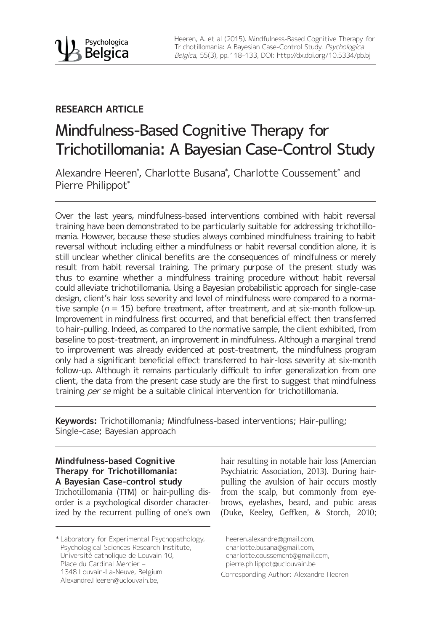## **RESEARCH ARTICLE**

# Mindfulness-Based Cognitive Therapy for Trichotillomania: A Bayesian Case-Control Study

Alexandre Heeren\* , Charlotte Busana\* , Charlotte Coussement\* and Pierre Philippot\*

Over the last years, mindfulness-based interventions combined with habit reversal training have been demonstrated to be particularly suitable for addressing trichotillomania. However, because these studies always combined mindfulness training to habit reversal without including either a mindfulness or habit reversal condition alone, it is still unclear whether clinical benefits are the consequences of mindfulness or merely result from habit reversal training. The primary purpose of the present study was thus to examine whether a mindfulness training procedure without habit reversal could alleviate trichotillomania. Using a Bayesian probabilistic approach for single-case design, client's hair loss severity and level of mindfulness were compared to a normative sample ( $n = 15$ ) before treatment, after treatment, and at six-month follow-up. Improvement in mindfulness first occurred, and that beneficial effect then transferred to hair-pulling. Indeed, as compared to the normative sample, the client exhibited, from baseline to post-treatment, an improvement in mindfulness. Although a marginal trend to improvement was already evidenced at post-treatment, the mindfulness program only had a significant beneficial effect transferred to hair-loss severity at six-month follow-up. Although it remains particularly difficult to infer generalization from one client, the data from the present case study are the first to suggest that mindfulness training per se might be a suitable clinical intervention for trichotillomania.

**Keywords:** Trichotillomania; Mindfulness-based interventions; Hair-pulling; Single-case; Bayesian approach

### **Mindfulness-based Cognitive Therapy for Trichotillomania: A Bayesian Case-control study**

Trichotillomania (TTM) or hair-pulling disorder is a psychological disorder characterized by the recurrent pulling of one's own hair resulting in notable hair loss (Amercian Psychiatric Association, 2013). During hairpulling the avulsion of hair occurs mostly from the scalp, but commonly from eyebrows, eyelashes, beard, and pubic areas (Duke, Keeley, Geffken, & Storch, 2010;

<sup>\*</sup> Laboratory for Experimental Psychopathology, Psychological Sciences Research Institute, Université catholique de Louvain 10, Place du Cardinal Mercier -1348 Louvain-La-Neuve, Belgium Alexandre.Heeren@uclouvain.be,

heeren.alexandre@gmail.com, charlotte.busana@gmail.com, charlotte.coussement@gmail.com, pierre.philippot@uclouvain.be

Corresponding Author: Alexandre Heeren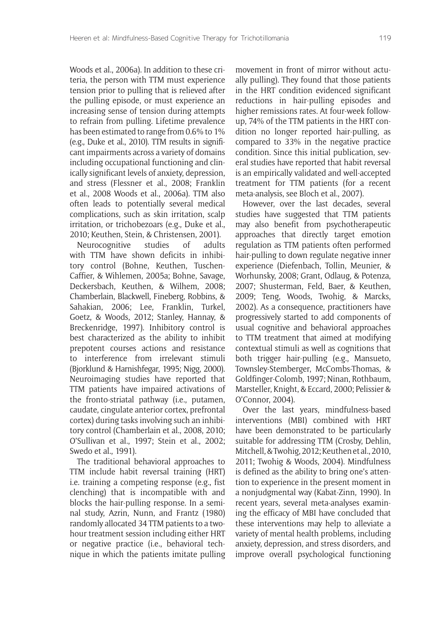Woods et al., 2006a). In addition to these criteria, the person with TTM must experience tension prior to pulling that is relieved after the pulling episode, or must experience an increasing sense of tension during attempts to refrain from pulling. Lifetime prevalence has been estimated to range from 0.6% to 1% (e.g., Duke et al., 2010). TTM results in significant impairments across a variety of domains including occupational functioning and clinically significant levels of anxiety, depression, and stress (Flessner et al., 2008; Franklin et al., 2008 Woods et al., 2006a). TTM also often leads to potentially several medical complications, such as skin irritation, scalp irritation, or trichobezoars (e.g., Duke et al., 2010; Keuthen, Stein, & Christensen, 2001).

Neurocognitive studies of adults with TTM have shown deficits in inhibitory control (Bohne, Keuthen, Tuschen-Caffier, & Wihlemen, 2005a; Bohne, Savage, Deckersbach, Keuthen, & Wilhem, 2008; Chamberlain, Blackwell, Fineberg, Robbins, & Sahakian, 2006; Lee, Franklin, Turkel, Goetz, & Woods, 2012; Stanley, Hannay, & Breckenridge, 1997). Inhibitory control is best characterized as the ability to inhibit prepotent courses actions and resistance to interference from irrelevant stimuli (Bjorklund & Harnishfegar, 1995; Nigg, 2000). Neuroimaging studies have reported that TTM patients have impaired activations of the fronto-striatal pathway (i.e., putamen, caudate, cingulate anterior cortex, prefrontal cortex) during tasks involving such an inhibitory control (Chamberlain et al., 2008, 2010; O'Sullivan et al., 1997; Stein et al., 2002; Swedo et al., 1991).

The traditional behavioral approaches to TTM include habit reversal training (HRT) i.e. training a competing response (e.g., fist clenching) that is incompatible with and blocks the hair-pulling response. In a seminal study, Azrin, Nunn, and Frantz (1980) randomly allocated 34 TTM patients to a twohour treatment session including either HRT or negative practice (i.e., behavioral technique in which the patients imitate pulling

movement in front of mirror without actually pulling). They found that those patients in the HRT condition evidenced significant reductions in hair-pulling episodes and higher remissions rates. At four-week followup, 74% of the TTM patients in the HRT condition no longer reported hair-pulling, as compared to 33% in the negative practice condition. Since this initial publication, several studies have reported that habit reversal is an empirically validated and well-accepted treatment for TTM patients (for a recent meta-analysis, see Bloch et al., 2007).

However, over the last decades, several studies have suggested that TTM patients may also benefit from psychotherapeutic approaches that directly target emotion regulation as TTM patients often performed hair-pulling to down regulate negative inner experience (Diefenbach, Tollin, Meunier, & Worhunsky, 2008; Grant, Odlaug, & Potenza, 2007; Shusterman, Feld, Baer, & Keuthen, 2009; Teng, Woods, Twohig, & Marcks, 2002). As a consequence, practitioners have progressively started to add components of usual cognitive and behavioral approaches to TTM treatment that aimed at modifying contextual stimuli as well as cognitions that both trigger hair-pulling (e.g., Mansueto, Townsley-Stemberger, McCombs-Thomas, & Goldfinger-Colomb, 1997; Ninan, Rothbaum, Marsteller, Knight, & Eccard, 2000; Pelissier & O'Connor, 2004).

Over the last years, mindfulness-based interventions (MBI) combined with HRT have been demonstrated to be particularly suitable for addressing TTM (Crosby, Dehlin, Mitchell,& Twohig, 2012; Keuthen et al., 2010, 2011; Twohig & Woods, 2004). Mindfulness is defined as the ability to bring one's attention to experience in the present moment in a nonjudgmental way (Kabat-Zinn, 1990). In recent years, several meta-analyses examining the efficacy of MBI have concluded that these interventions may help to alleviate a variety of mental health problems, including anxiety, depression, and stress disorders, and improve overall psychological functioning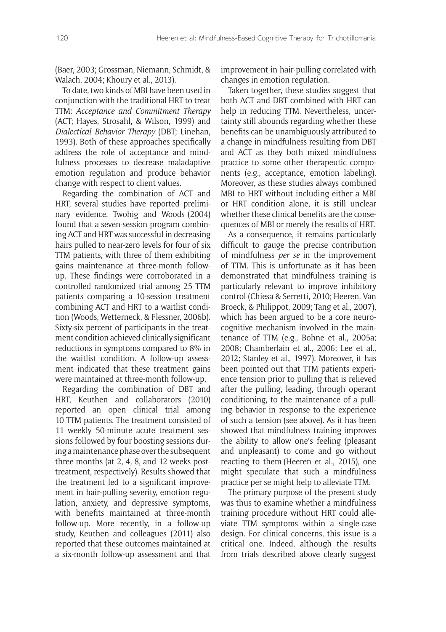(Baer, 2003; Grossman, Niemann, Schmidt, & Walach, 2004; Khoury et al., 2013).

To date, two kinds of MBI have been used in conjunction with the traditional HRT to treat TTM: *Acceptance and Commitment Therapy* (ACT; Hayes, Strosahl, & Wilson, 1999) and *Dialectical Behavior Therapy* (DBT; Linehan, 1993). Both of these approaches specifically address the role of acceptance and mindfulness processes to decrease maladaptive emotion regulation and produce behavior change with respect to client values.

Regarding the combination of ACT and HRT, several studies have reported preliminary evidence. Twohig and Woods (2004) found that a seven-session program combining ACT and HRT was successful in decreasing hairs pulled to near-zero levels for four of six TTM patients, with three of them exhibiting gains maintenance at three-month followup. These findings were corroborated in a controlled randomized trial among 25 TTM patients comparing a 10-session treatment combining ACT and HRT to a waitlist condition (Woods, Wetterneck, & Flessner, 2006b). Sixty-six percent of participants in the treatment condition achieved clinically significant reductions in symptoms compared to 8% in the waitlist condition. A follow-up assessment indicated that these treatment gains were maintained at three-month follow-up.

Regarding the combination of DBT and HRT, Keuthen and collaborators (2010) reported an open clinical trial among 10 TTM patients. The treatment consisted of 11 weekly 50-minute acute treatment sessions followed by four boosting sessions during a maintenance phase over the subsequent three months (at 2, 4, 8, and 12 weeks posttreatment, respectively). Results showed that the treatment led to a significant improvement in hair-pulling severity, emotion regulation, anxiety, and depressive symptoms, with benefits maintained at three-month follow-up. More recently, in a follow-up study, Keuthen and colleagues (2011) also reported that these outcomes maintained at a six-month follow-up assessment and that improvement in hair-pulling correlated with changes in emotion regulation.

Taken together, these studies suggest that both ACT and DBT combined with HRT can help in reducing TTM. Nevertheless, uncertainty still abounds regarding whether these benefits can be unambiguously attributed to a change in mindfulness resulting from DBT and ACT as they both mixed mindfulness practice to some other therapeutic components (e.g., acceptance, emotion labeling). Moreover, as these studies always combined MBI to HRT without including either a MBI or HRT condition alone, it is still unclear whether these clinical benefits are the consequences of MBI or merely the results of HRT.

As a consequence, it remains particularly difficult to gauge the precise contribution of mindfulness *per se* in the improvement of TTM. This is unfortunate as it has been demonstrated that mindfulness training is particularly relevant to improve inhibitory control (Chiesa & Serretti, 2010; Heeren, Van Broeck, & Philippot, 2009; Tang et al., 2007), which has been argued to be a core neurocognitive mechanism involved in the maintenance of TTM (e.g., Bohne et al., 2005a; 2008; Chamberlain et al., 2006; Lee et al., 2012; Stanley et al., 1997). Moreover, it has been pointed out that TTM patients experience tension prior to pulling that is relieved after the pulling, leading, through operant conditioning, to the maintenance of a pulling behavior in response to the experience of such a tension (see above). As it has been showed that mindfulness training improves the ability to allow one's feeling (pleasant and unpleasant) to come and go without reacting to them (Heeren et al., 2015), one might speculate that such a mindfulness practice per se might help to alleviate TTM.

The primary purpose of the present study was thus to examine whether a mindfulness training procedure without HRT could alleviate TTM symptoms within a single-case design. For clinical concerns, this issue is a critical one. Indeed, although the results from trials described above clearly suggest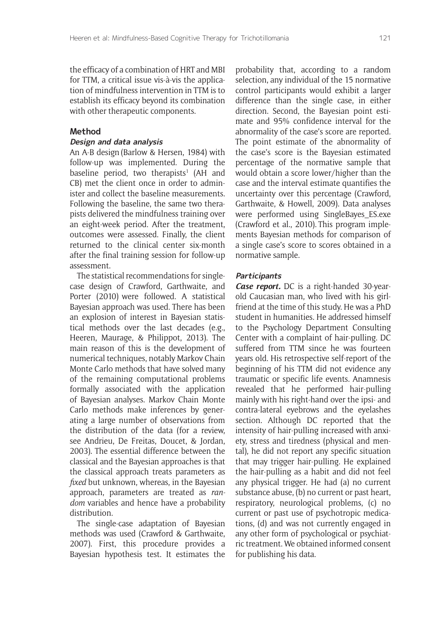the efficacy of a combination of HRT and MBI for TTM, a critical issue vis-à-vis the application of mindfulness intervention in TTM is to establish its efficacy beyond its combination with other therapeutic components.

#### **Method**

#### **Design and data analysis**

An A-B design (Barlow & Hersen, 1984) with follow-up was implemented. During the baseline period, two therapists<sup>1</sup> (AH and CB) met the client once in order to administer and collect the baseline measurements. Following the baseline, the same two therapists delivered the mindfulness training over an eight-week period. After the treatment, outcomes were assessed. Finally, the client returned to the clinical center six-month after the final training session for follow-up assessment.

The statistical recommendations for singlecase design of Crawford, Garthwaite, and Porter (2010) were followed. A statistical Bayesian approach was used. There has been an explosion of interest in Bayesian statistical methods over the last decades (e.g., Heeren, Maurage, & Philippot, 2013). The main reason of this is the development of numerical techniques, notably Markov Chain Monte Carlo methods that have solved many of the remaining computational problems formally associated with the application of Bayesian analyses. Markov Chain Monte Carlo methods make inferences by generating a large number of observations from the distribution of the data (for a review, see Andrieu, De Freitas, Doucet, & Jordan, 2003). The essential difference between the classical and the Bayesian approaches is that the classical approach treats parameters as *fixed* but unknown, whereas, in the Bayesian approach, parameters are treated as *random* variables and hence have a probability distribution.

The single-case adaptation of Bayesian methods was used (Crawford & Garthwaite, 2007). First, this procedure provides a Bayesian hypothesis test. It estimates the

probability that, according to a random selection, any individual of the 15 normative control participants would exhibit a larger difference than the single case, in either direction. Second, the Bayesian point estimate and 95% confidence interval for the abnormality of the case's score are reported. The point estimate of the abnormality of the case's score is the Bayesian estimated percentage of the normative sample that would obtain a score lower/higher than the case and the interval estimate quantifies the uncertainty over this percentage (Crawford, Garthwaite, & Howell, 2009). Data analyses were performed using SingleBayes\_ES.exe (Crawford et al., 2010). This program implements Bayesian methods for comparison of a single case's score to scores obtained in a normative sample.

#### **Participants**

*Case report.* DC is a right-handed 30-yearold Caucasian man, who lived with his girlfriend at the time of this study. He was a PhD student in humanities. He addressed himself to the Psychology Department Consulting Center with a complaint of hair-pulling. DC suffered from TTM since he was fourteen years old. His retrospective self-report of the beginning of his TTM did not evidence any traumatic or specific life events. Anamnesis revealed that he performed hair-pulling mainly with his right-hand over the ipsi- and contra-lateral eyebrows and the eyelashes section. Although DC reported that the intensity of hair-pulling increased with anxiety, stress and tiredness (physical and mental), he did not report any specific situation that may trigger hair-pulling. He explained the hair-pulling as a habit and did not feel any physical trigger. He had (a) no current substance abuse, (b) no current or past heart, respiratory, neurological problems, (c) no current or past use of psychotropic medications, (d) and was not currently engaged in any other form of psychological or psychiatric treatment. We obtained informed consent for publishing his data.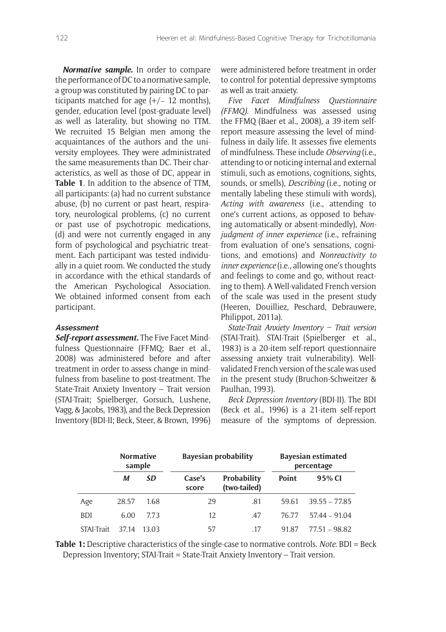*Normative sample.* In order to compare the performance of DC to a normative sample, a group was constituted by pairing DC to participants matched for age  $(+/- 12$  months), gender, education level (post-graduate level) as well as laterality, but showing no TTM. We recruited 15 Belgian men among the acquaintances of the authors and the university employees. They were administrated the same measurements than DC. Their characteristics, as well as those of DC, appear in **Table 1**. In addition to the absence of TTM, all participants: (a) had no current substance abuse, (b) no current or past heart, respiratory, neurological problems, (c) no current or past use of psychotropic medications, (d) and were not currently engaged in any form of psychological and psychiatric treatment. Each participant was tested individually in a quiet room. We conducted the study in accordance with the ethical standards of the American Psychological Association. We obtained informed consent from each participant.

#### **Assessment**

*Self-report assessment.* The Five Facet Mindfulness Questionnaire (FFMQ; Baer et al., 2008) was administered before and after treatment in order to assess change in mindfulness from baseline to post-treatment. The State-Trait Anxiety Inventory – Trait version (STAI-Trait; Spielberger, Gorsuch, Lushene, Vagg, & Jacobs, 1983), and the Beck Depression Inventory (BDI-II; Beck, Steer, & Brown, 1996) were administered before treatment in order to control for potential depressive symptoms as well as trait-anxiety.

*Five Facet Mindfulness Questionnaire (FFMQ).* Mindfulness was assessed using the FFMQ (Baer et al., 2008), a 39-item selfreport measure assessing the level of mindfulness in daily life. It assesses five elements of mindfulness. These include *Observing* (i.e., attending to or noticing internal and external stimuli, such as emotions, cognitions, sights, sounds, or smells), *Describing* (i.e., noting or mentally labeling these stimuli with words), *Acting with awareness* (i.e., attending to one's current actions, as opposed to behaving automatically or absent-mindedly), *Nonjudgment of inner experience* (i.e., refraining from evaluation of one's sensations, cognitions, and emotions) and *Nonreactivity to Inner experience* (i.e., allowing one's thoughts and feelings to come and go, without reacting to them). A Well-validated French version of the scale was used in the present study (Heeren, Douilliez, Peschard, Debrauwere, Philippot, 2011a).

*State-Trait Anxiety Inventory - Trait version* (STAI-Trait). STAI-Trait (Spielberger et al., 1983) is a 20-item self-report questionnaire assessing anxiety trait vulnerability). Wellvalidated French version of the scale was used in the present study (Bruchon-Schweitzer & Paulhan, 1993).

**Beck Depression Inventory (BDI-II). The BDI** (Beck et al., 1996) is a 21-item self-report measure of the symptoms of depression.

|            | <b>Normative</b><br>sample |           | <b>Bayesian probability</b> |                             | <b>Bayesian estimated</b><br>percentage |                 |  |
|------------|----------------------------|-----------|-----------------------------|-----------------------------|-----------------------------------------|-----------------|--|
|            | М                          | <b>SD</b> | Case's<br>score             | Probability<br>(two-tailed) | Point                                   | 95% CI          |  |
| Age        | 28.57                      | 1.68      | 29                          | .81                         | 59.61                                   | $39.55 - 77.85$ |  |
| <b>BDI</b> | 6.00                       | 7.73      | 12                          | .47                         | 76.77                                   | $57.44 - 91.04$ |  |
| STAI-Trait | 37.14                      | 13.03     | 57                          | .17                         | 91.87                                   | 77.51 - 98.82   |  |

**Table 1:** Descriptive characteristics of the single-case to normative controls. *Note.* BDI = Beck Depression Inventory; STAI-Trait = State-Trait Anxiety Inventory – Trait version.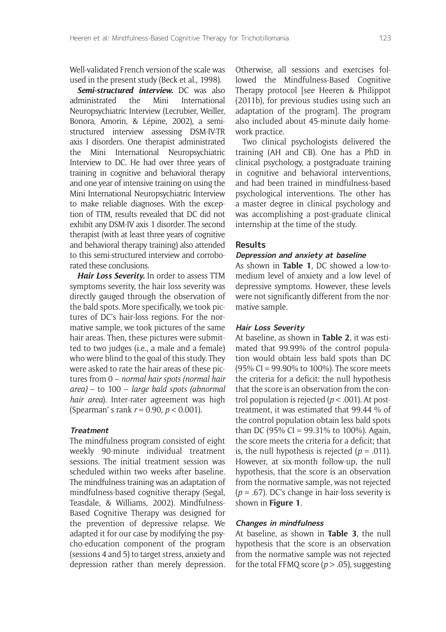Well-validated French versionof the scale was used in the present study (Beck et al., 1998).

*Semi-structured interview.* DC was also administrated the Mini International Neuropsychiatric Interview (Lecrubier, Weiller, Bonora, Amorin, & Lépine, 2002), a semistructured interview assessing DSM-IV-TR axis I disorders. One therapist administrated the Mini International Neuropsychiatric Interview to DC. He had over three years of training in cognitive and behavioral therapy and one year of intensive training on using the Mini International Neuropsychiatric Interview to make reliable diagnoses. With the exception of TTM, results revealed that DC did not exhibit any DSM-IV axis 1 disorder. The second therapist (with at least three years of cognitive and behavioral therapy training) also attended to this semi-structured interview and corroborated these conclusions.

*Hair Loss Severity.* In order to assess TTM symptoms severity, the hair loss severity was directly gauged through the observation of the bald spots. More specifically, we took pictures of DC's hair-loss regions. For the normative sample, we took pictures of the same hair areas. Then, these pictures were submitted to two judges (i.e., a male and a female) who were blind to the goal of this study. They were asked to rate the hair areas of these pictures from 0 – *normal hair spots (normal hair area)* – to 100 – *large bald spots (abnormal hair area*). Inter-rater agreement was high (Spearman' s rank *r* = 0.90, *p* < 0.001).

#### **Treatment**

The mindfulness program consisted of eight weekly 90-minute individual treatment sessions. The initial treatment session was scheduled within two weeks after baseline. The mindfulness training was an adaptation of mindfulness-based cognitive therapy (Segal, Teasdale, & Williams, 2002). Mindfulness-Based Cognitive Therapy was designed for the prevention of depressive relapse. We adapted it for our case by modifying the psycho-education component of the program (sessions 4 and 5) to target stress, anxiety and depression rather than merely depression.

Otherwise, all sessions and exercises followed the Mindfulness-Based Cognitive Therapy protocol [see Heeren & Philippot (2011b), for previous studies using such an adaptation of the program]. The program also included about 45-minute daily homework practice.

Two clinical psychologists delivered the training (AH and CB). One has a PhD in clinical psychology, a postgraduate training in cognitive and behavioral interventions, and had been trained in mindfulness-based psychological interventions. The other has a master degree in clinical psychology and was accomplishing a post-graduate clinical internship at the time of the study.

#### **Results**

#### **Depression and anxiety at baseline**

As shown in **Table 1**, DC showed a low-tomedium level of anxiety and a low level of depressive symptoms. However, these levels were not significantly different from the normative sample.

#### **Hair Loss Severity**

At baseline, as shown in **Table 2**, it was estimated that 99.99% of the control population would obtain less bald spots than DC (95% CI = 99.90% to 100%). The score meets the criteria for a deficit: the null hypothesis that the score is an observation from the control population is rejected (*p* < .001). At posttreatment, it was estimated that 99.44 % of the control population obtain less bald spots than DC (95% CI = 99.31% to 100%). Again, the score meets the criteria for a deficit; that is, the null hypothesis is rejected  $(p = .011)$ . However, at six-month follow-up, the null hypothesis, that the score is an observation from the normative sample, was not rejected (*p* = .67). DC's change in hair-loss severity is shown in **Figure 1**.

#### **Changes in mindfulness**

At baseline, as shown in **Table 3**, the null hypothesis that the score is an observation from the normative sample was not rejected for the total FFMQ score ( $p > .05$ ), suggesting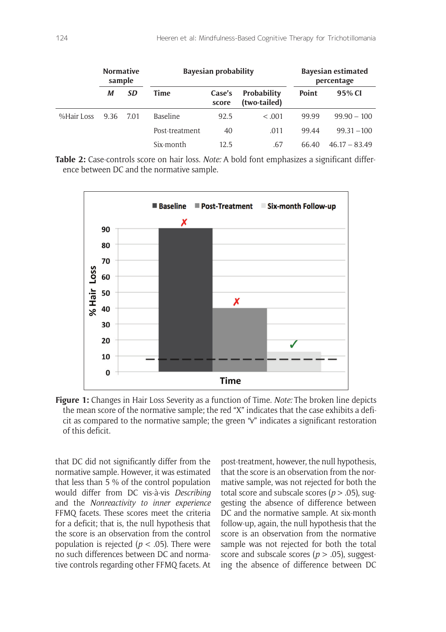|            | <b>Normative</b><br>sample |           | <b>Bayesian probability</b> |                 |                             | <b>Bayesian estimated</b><br>percentage |                 |
|------------|----------------------------|-----------|-----------------------------|-----------------|-----------------------------|-----------------------------------------|-----------------|
|            | М                          | <b>SD</b> | Time                        | Case's<br>score | Probability<br>(two-tailed) | Point                                   | 95% CI          |
| %Hair Loss | 9.36                       | 7.01      | Baseline                    | 92.5            | < 0.001                     | 99.99                                   | $99.90 - 100$   |
|            |                            |           | Post-treatment              | 40              | .011                        | 99.44                                   | $99.31 - 100$   |
|            |                            |           | Six-month                   | 12.5            | .67                         | 66.40                                   | $46.17 - 83.49$ |

**Table 2:** Case-controls score on hair loss. *Note:* A bold font emphasizes a significant difference between DC and the normative sample.



**Figure 1:** Changes in Hair Loss Severity as a function of Time. *Note:* The broken line depicts the mean score of the normative sample; the red "X" indicates that the case exhibits a deficit as compared to the normative sample; the green "v" indicates a significant restoration of this deficit.

that DC did not significantly differ from the normative sample. However, it was estimated that less than 5 % of the control population would differ from DC vis-à-vis *Describing*  and the *Nonreactivity to inner experience* FFMQ facets. These scores meet the criteria for a deficit; that is, the null hypothesis that the score is an observation from the control population is rejected (*p* < .05). There were no such differences between DC and normative controls regarding other FFMQ facets. At post-treatment, however, the null hypothesis, that the score is an observation from the normative sample, was not rejected for both the total score and subscale scores ( $p > .05$ ), suggesting the absence of difference between DC and the normative sample. At six-month follow-up, again, the null hypothesis that the score is an observation from the normative sample was not rejected for both the total score and subscale scores ( $p > .05$ ), suggesting the absence of difference between DC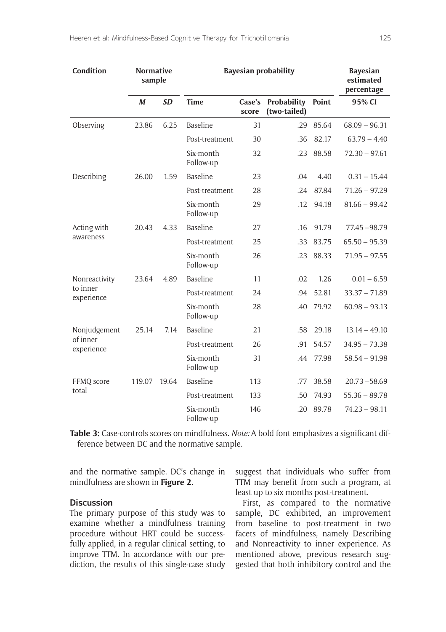| Condition              | <b>Normative</b><br>sample |           | <b>Bayesian probability</b> |                 |                                    |       | <b>Bayesian</b><br>estimated<br>percentage |
|------------------------|----------------------------|-----------|-----------------------------|-----------------|------------------------------------|-------|--------------------------------------------|
|                        | M                          | <b>SD</b> | <b>Time</b>                 | Case's<br>score | <b>Probability</b><br>(two-tailed) | Point | 95% CI                                     |
| Observing              | 23.86                      | 6.25      | <b>Baseline</b>             | 31              | .29                                | 85.64 | $68.09 - 96.31$                            |
|                        |                            |           | Post-treatment              | 30              | .36                                | 82.17 | $63.79 - 4.40$                             |
|                        |                            |           | Six-month<br>Follow-up      | 32              | .23                                | 88.58 | $72.30 - 97.61$                            |
| Describing             | 26.00                      | 1.59      | <b>Baseline</b>             | 23              | .04                                | 4.40  | $0.31 - 15.44$                             |
|                        |                            |           | Post-treatment              | 28              | .24                                | 87.84 | $71.26 - 97.29$                            |
|                        |                            |           | Six-month<br>Follow-up      | 29              | .12                                | 94.18 | $81.66 - 99.42$                            |
| Acting with            | 20.43                      | 4.33      | <b>Baseline</b>             | 27              | .16                                | 91.79 | 77.45 - 98.79                              |
| awareness              |                            |           | Post-treatment              | 25              | .33                                | 83.75 | $65.50 - 95.39$                            |
|                        |                            |           | Six-month<br>Follow-up      | 26              | .23                                | 88.33 | $71.95 - 97.55$                            |
| Nonreactivity          | 23.64                      | 4.89      | <b>Baseline</b>             | 11              | .02                                | 1.26  | $0.01 - 6.59$                              |
| to inner<br>experience |                            |           | Post-treatment              | 24              | .94                                | 52.81 | $33.37 - 71.89$                            |
|                        |                            |           | Six-month<br>Follow-up      | 28              | .40                                | 79.92 | $60.98 - 93.13$                            |
| Nonjudgement           | 25.14                      | 7.14      | <b>Baseline</b>             | 21              | .58                                | 29.18 | $13.14 - 49.10$                            |
| of inner<br>experience |                            |           | Post-treatment              | 26              | .91                                | 54.57 | $34.95 - 73.38$                            |
|                        |                            |           | Six-month<br>Follow-up      | 31              | .44                                | 77.98 | $58.54 - 91.98$                            |
| FFMQ score             | 119.07                     | 19.64     | <b>Baseline</b>             | 113             | .77                                | 38.58 | $20.73 - 58.69$                            |
| total                  |                            |           | Post-treatment              | 133             | .50                                | 74.93 | $55.36 - 89.78$                            |
|                        |                            |           | Six-month<br>Follow-up      | 146             | .20                                | 89.78 | $74.23 - 98.11$                            |

**Table 3:** Case-controls scores on mindfulness. *Note:* A bold font emphasizes a significant difference between DC and the normative sample.

and the normative sample. DC's change in mindfulness are shown in **Figure 2**.

#### **Discussion**

The primary purpose of this study was to examine whether a mindfulness training procedure without HRT could be successfully applied, in a regular clinical setting, to improve TTM. In accordance with our prediction, the results of this single-case study suggest that individuals who suffer from TTM may benefit from such a program, at least up to six months post-treatment.

First, as compared to the normative sample, DC exhibited, an improvement from baseline to post-treatment in two facets of mindfulness, namely Describing and Nonreactivity to inner experience. As mentioned above, previous research suggested that both inhibitory control and the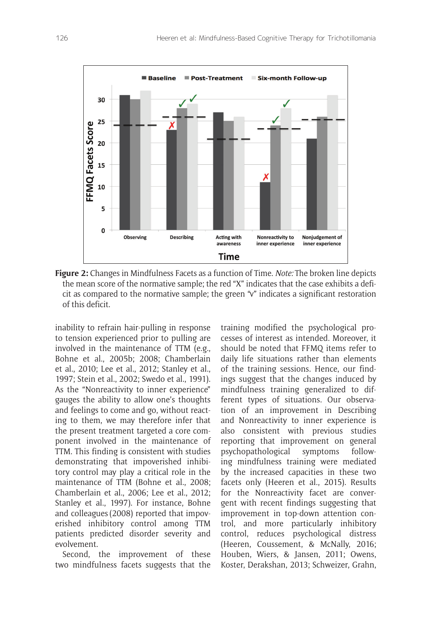

**Figure 2:** Changes in Mindfulness Facets as a function of Time. *Note:* The broken line depicts the mean score of the normative sample; the red "X" indicates that the case exhibits a deficit as compared to the normative sample; the green "v" indicates a significant restoration of this deficit.

inability to refrain hair-pulling in response to tension experienced prior to pulling are involved in the maintenance of TTM (e.g., Bohne et al., 2005b; 2008; Chamberlain et al., 2010; Lee et al., 2012; Stanley et al., 1997; Stein et al., 2002; Swedo et al., 1991). As the "Nonreactivity to inner experience" gauges the ability to allow one's thoughts and feelings to come and go, without reacting to them, we may therefore infer that the present treatment targeted a core component involved in the maintenance of TTM. This finding is consistent with studies demonstrating that impoverished inhibitory control may play a critical role in the maintenance of TTM (Bohne et al., 2008; Chamberlain et al., 2006; Lee et al., 2012; Stanley et al., 1997). For instance, Bohne and colleagues(2008) reported that impoverished inhibitory control among TTM patients predicted disorder severity and evolvement.

Second, the improvement of these two mindfulness facets suggests that the training modified the psychological processes of interest as intended. Moreover, it should be noted that FFMQ items refer to daily life situations rather than elements of the training sessions. Hence, our findings suggest that the changes induced by mindfulness training generalized to different types of situations. Our observation of an improvement in Describing and Nonreactivity to inner experience is also consistent with previous studies reporting that improvement on general psychopathological symptoms following mindfulness training were mediated by the increased capacities in these two facets only (Heeren et al., 2015). Results for the Nonreactivity facet are convergent with recent findings suggesting that improvement in top-down attention control, and more particularly inhibitory control, reduces psychological distress (Heeren, Coussement, & McNally, 2016; Houben, Wiers, & Jansen, 2011; Owens, Koster, Derakshan, 2013; Schweizer, Grahn,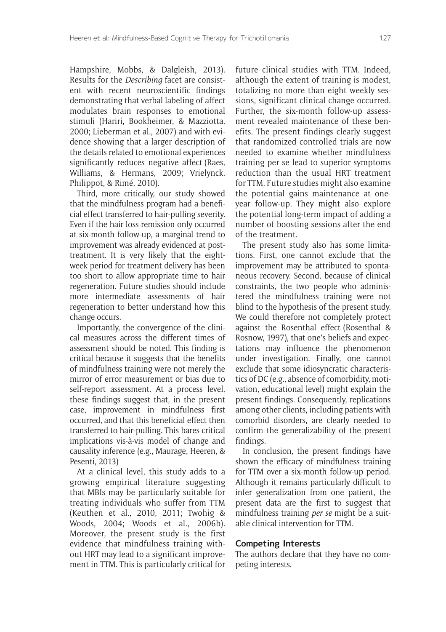Hampshire, Mobbs, & Dalgleish, 2013). Results for the *Describing* facet are consistent with recent neuroscientific findings demonstrating that verbal labeling of affect modulates brain responses to emotional stimuli (Hariri, Bookheimer, & Mazziotta, 2000; Lieberman et al., 2007) and with evidence showing that a larger description of the details related to emotional experiences significantly reduces negative affect (Raes, Williams, & Hermans, 2009; Vrielynck, Philippot, & Rimé, 2010).

Third, more critically, our study showed that the mindfulness program had a beneficial effect transferred to hair-pulling severity. Even if the hair loss remission only occurred at six-month follow-up, a marginal trend to improvement was already evidenced at posttreatment. It is very likely that the eightweek period for treatment delivery has been too short to allow appropriate time to hair regeneration. Future studies should include more intermediate assessments of hair regeneration to better understand how this change occurs.

Importantly, the convergence of the clinical measures across the different times of assessment should be noted. This finding is critical because it suggests that the benefits of mindfulness training were not merely the mirror of error measurement or bias due to self-report assessment. At a process level, these findings suggest that, in the present case, improvement in mindfulness first occurred, and that this beneficial effect then transferred to hair-pulling. This bares critical implications vis-à-vis model of change and causality inference (e.g., Maurage, Heeren, & Pesenti, 2013)

At a clinical level, this study adds to a growing empirical literature suggesting that MBIs may be particularly suitable for treating individuals who suffer from TTM (Keuthen et al., 2010, 2011; Twohig & Woods, 2004; Woods et al., 2006b). Moreover, the present study is the first evidence that mindfulness training without HRT may lead to a significant improvement in TTM. This is particularly critical for future clinical studies with TTM. Indeed, although the extent of training is modest, totalizing no more than eight weekly sessions, significant clinical change occurred. Further, the six-month follow-up assessment revealed maintenance of these benefits. The present findings clearly suggest that randomized controlled trials are now needed to examine whether mindfulness training per se lead to superior symptoms reduction than the usual HRT treatment for TTM. Future studies might also examine the potential gains maintenance at oneyear follow-up. They might also explore the potential long-term impact of adding a number of boosting sessions after the end of the treatment.

The present study also has some limitations. First, one cannot exclude that the improvement may be attributed to spontaneous recovery. Second, because of clinical constraints, the two people who administered the mindfulness training were not blind to the hypothesis of the present study. We could therefore not completely protect against the Rosenthal effect (Rosenthal & Rosnow, 1997), that one's beliefs and expectations may influence the phenomenon under investigation. Finally, one cannot exclude that some idiosyncratic characteristics of DC (e.g., absence of comorbidity, motivation, educational level) might explain the present findings. Consequently, replications among other clients, including patients with comorbid disorders, are clearly needed to confirm the generalizability of the present findings.

In conclusion, the present findings have shown the efficacy of mindfulness training for TTM over a six-month follow-up period. Although it remains particularly difficult to infer generalization from one patient, the present data are the first to suggest that mindfulness training *per se* might be a suitable clinical intervention for TTM.

#### **Competing Interests**

The authors declare that they have no competing interests.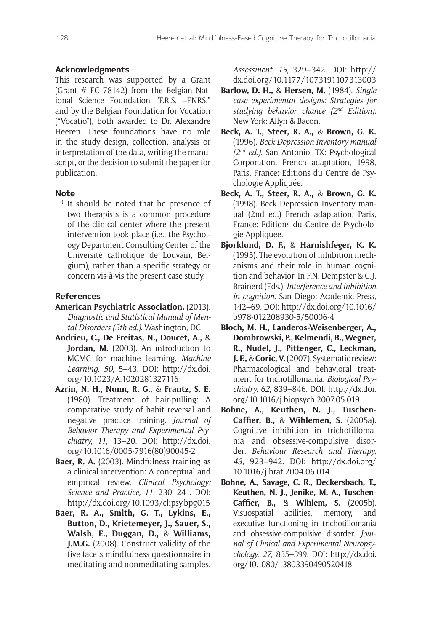#### **Acknowledgments**

This research was supported by a Grant (Grant  $#$  FC 78142) from the Belgian National Science Foundation "F.R.S. –FNRS." and by the Belgian Foundation for Vocation ("Vocatio"), both awarded to Dr. Alexandre Heeren. These foundations have no role in the study design, collection, analysis or interpretation of the data, writing the manuscript, or the decision to submit the paper for publication.

#### **Note**

<sup>1</sup> It should be noted that he presence of two therapists is a common procedure of the clinical center where the present intervention took place (i.e., the Psychology Department Consulting Center of the Université catholique de Louvain, Belgium), rather than a specific strategy or concern vis-à-vis the present case study.

#### **References**

- **American Psychiatric Association.** (2013). *Diagnostic and Statistical Manual of Mental Disorders (5th ed.)*. Washington, DC
- **Andrieu, C., De Freitas, N., Doucet, A.,** & Jordan, M. (2003). An introduction to MCMC for machine learning. *Machine Learning, 50*, 5–43. DOI: http://dx.doi. org/10.1023/A:1020281327116
- **Azrin, N. H., Nunn, R. G.,** & **Frantz, S. E.** (1980). Treatment of hair-pulling: A comparative study of habit reversal and negative practice training. *Journal of*  Behavior Therapy and Experimental Psy*chiatry, 11*, 13–20. DOI: http://dx.doi. org/10.1016/0005-7916(80)90045-2
- **Baer, R. A.** (2003). Mindfulness training as a clinical intervention: A conceptual and empirical review. *Clinical Psychology: 3CIENCE AND 0RACTICE* , 230–241. DOI: http://dx.doi.org/10.1093/clipsy.bpg015
- **Baer, R. A., Smith, G. T., Lykins, E., Button, D., Krietemeyer, J., Sauer, S., Walsh, E., Duggan, D.,** & **Williams, J.M.G.** (2008). Construct validity of the five facets mindfulness questionnaire in meditating and nonmeditating samples.

*Assessment, 15*, 329–342. DOI: http:// dx.doi.org/10.1177/1073191107313003

- **Barlow, D. H.,** & **Hersen, M.** (1984). *Single CASE EXPERIMENTAL DESIGNS 3TRATEGIES FOR studying behavior chance (2nd Edition).* New York: Allyn & Bacon.
- **Beck, A. T., Steer, R. A.,** & **Brown, G. K.** (1996). *Beck Depression Inventory manual (2nd ed.).* San Antonio, TX: Psychological Corporation. French adaptation, 1998, Paris, France: Editions du Centre de Psychologie Appliquée.
- **Beck, A. T., Steer, R. A.,** & **Brown, G. K.** (1998). Beck Depression Inventory manual (2nd ed.) French adaptation, Paris, France: Editions du Centre de Psychologie Appliquee.
- **Bjorklund, D. F.,** & **Harnishfeger, K. K.** (1995). The evolution of inhibition mechanisms and their role in human cognition and behavior. In F.N. Dempster & C.J. Brainerd (Eds.), *Interference and inhibition in cognition*. San Diego: Academic Press, 142–69. DOI: http://dx.doi.org/10.1016/ b978-012208930-5/50006-4
- **Bloch, M. H., Landeros-Weisenberger, A., Dombrowski, P., Kelmendi, B., Wegner, R., Nudel, J., Pittenger, C., Leckman, J. F.,** & **Coric, V.** (2007). Systematic review: Pharmacological and behavioral treatment for trichotillomania. *Biological Psychiatry, 62*, 839–846. DOI: http://dx.doi. org/10.1016/j.biopsych.2007.05.019
- **Bohne, A., Keuthen, N. J., Tuschen- Caffier, B., & Wihlemen, S.** (2005a). Cognitive inhibition in trichotillomania and obsessive-compulsive disorder. *Behaviour Research and Therapy, 43*, 923–942. DOI: http://dx.doi.org/ 10.1016/j.brat.2004.06.014
- **Bohne, A., Savage, C. R., Deckersbach, T., Keuthen, N. J., Jenike, M. A., Tuschen- Caffier, B., & Wihlem, S.** (2005b). Visuospatial abilities, memory, and executive functioning in trichotillomania and obsessive-compulsive disorder. *Journal of Clinical and Experimental Neuropsychology, 27*, 835–399. DOI: http://dx.doi. org/10.1080/13803390490520418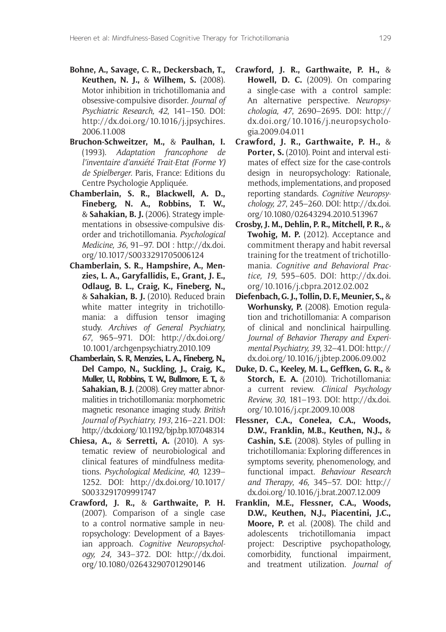- **Bohne, A., Savage, C. R., Deckersbach, T., Keuthen, N. J.,** & **Wilhem, S.** (2008). Motor inhibition in trichotillomania and obsessive-compulsive disorder. *Journal of*  Psychiatric Research, 42, 141-150. DOI: http://dx.doi.org/10.1016/j.jpsychires. 2006.11.008
- **Bruchon-Schweitzer, M.,** & **Paulhan, I.** (1993). *Adaptation francophone de L'inventaire d'anxiété Trait-Etat (Forme Y) de Spielberger.* Paris, France: Editions du Centre Psychologie Appliquée.
- **Chamberlain, S. R., Blackwell, A. D., Fineberg, N. A., Robbins, T. W.,**  & **Sahakian, B. J.** (2006). Strategy implementations in obsessive-compulsive disorder and trichotillomania. Psychological *Medicine, 36*, 91–97. DOI : http://dx.doi. org/10.1017/S0033291705006124
- **Chamberlain, S. R., Hampshire, A., Menzies, L. A., Garyfallidis, E., Grant, J. E., Odlaug, B. L., Craig, K., Fineberg, N.,**  & **Sahakian, B. J.** (2010). Reduced brain white matter integrity in trichotillomania: a diffusion tensor imaging study. Archives of General Psychiatry, *67*, 965–971. DOI: http://dx.doi.org/ 10.1001/archgenpsychiatry.2010.109
- **Chamberlain, S. R, Menzies, L. A., Fineberg, N., Del Campo, N., Suckling, J., Craig, K., Muller, U., Robbins, T. W., Bullmore, E. T.,** & **Sahakian, B. J.** (2008). Grey matter abnormalities in trichotillomania: morphometric magnetic resonance imaging study. *British Journal of Psychiatry, 193, 216-221. DOI:* http://dx.doi.org/10.1192/bjp.bp.107.048314
- **Chiesa, A.,** & **Serretti, A.** (2010). A systematic review of neurobiological and clinical features of mindfulness meditations. *Psychological Medicine*, 40, 1239-1252. DOI: http://dx.doi.org/10.1017/ S0033291709991747
- **Crawford, J. R.,** & **Garthwaite, P. H.** (2007). Comparison of a single case to a control normative sample in neuropsychology: Development of a Bayesian approach. *Cognitive Neuropsychology, 24,* 343–372. DOI: http://dx.doi. org/10.1080/02643290701290146
- **Crawford, J. R., Garthwaite, P. H.,** & **Howell, D. C.** (2009). On comparing a single-case with a control sample: An alternative perspective. *Neuropsychologia, 47*, 2690–2695. DOI: http:// dx.doi.org/10.1016/j.neuropsychologia.2009.04.011
- **Crawford, J. R., Garthwaite, P. H.,** & Porter, S. (2010). Point and interval estimates of effect size for the case-controls design in neuropsychology: Rationale, methods, implementations, and proposed reporting standards. *Cognitive Neuropsychology, 27*, 245–260. DOI: http://dx.doi. org/10.1080/02643294.2010.513967
- **Crosby, J. M., Dehlin, P. R., Mitchell, P. R.,** & **Twohig, M. P.** (2012). Acceptance and commitment therapy and habit reversal training for the treatment of trichotillomania. *Cognitive and Behavioral Prac-TICE* , 595–605. DOI: http://dx.doi. org/10.1016/j.cbpra.2012.02.002
- **Diefenbach, G. J., Tollin, D. F., Meunier, S.,** & **Worhunsky, P.** (2008). Emotion regulation and trichotillomania: A comparison of clinical and nonclinical hairpulling. *Journal of Behavior Therapy and Experi-MENTAL0SYCHIATRY*32–41. DOI: http:// dx.doi.org/10.1016/j.jbtep.2006.09.002
- **Duke, D. C., Keeley, M. L., Geffken, G. R.,** & **Storch, E. A.** (2010). Trichotillomania: a current review. *Clinical Psychology Review, 30*, 181–193. DOI: http://dx.doi. org/10.1016/j.cpr.2009.10.008
- **Flessner, C.A., Conelea, C.A., Woods, D.W., Franklin, M.B., Keuthen, N.J.,** & **Cashin, S.E.** (2008). Styles of pulling in trichotillomania: Exploring differences in symptoms severity, phenomenology, and functional impact. *Behaviour Research and Therapy*, *46,* 345–57. DOI: http:// dx.doi.org/10.1016/j.brat.2007.12.009
- **Franklin, M.E., Flessner, C.A., Woods, D.W., Keuthen, N.J., Piacentini, J.C., Moore, P.** et al. (2008). The child and adolescents trichotillomania impact project: Descriptive psychopathology, comorbidity, functional impairment, and treatment utilization. *Journal of*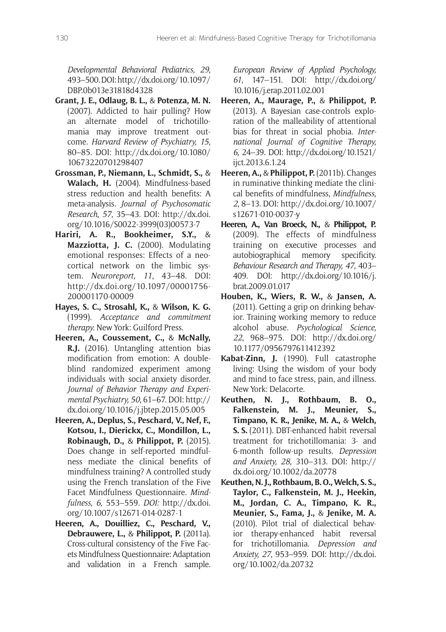*Developmental Behavioral Pediatrics, 29,* 493–500. DOI: http://dx.doi.org/10.1097/ DBP.0b013e31818d4328

- **Grant, J. E., Odlaug, B. L.,** & **Potenza, M. N.** (2007). Addicted to hair pulling? How an alternate model of trichotillomania may improve treatment outcome. *Harvard Review of Psychiatry*, 15, 80–85. DOI: http://dx.doi.org/10.1080/ 10673220701298407
- **Grossman, P., Niemann, L., Schmidt, S.,** & **Walach, H.** (2004). Mindfulness-based stress reduction and health benefits: A meta-analysis. *Journal of Psychosomatic Research*, *57*, 35–43. DOI: http://dx.doi. org/10.1016/S0022-3999(03)00573-7
- **Hariri, A. R., Bookheimer, S.Y.,** & **Mazziotta, J. C.** (2000). Modulating emotional responses: Effects of a neocortical network on the limbic system. *Neuroreport, 11*, 43–48. DOI: http://dx.doi.org/10.1097/00001756- 200001170-00009
- **Hayes, S. C., Strosahl, K.,** & **Wilson, K. G.** (1999). *Acceptance and commitment therapy.* New York: Guilford Press.
- **Heeren, A., Coussement, C.,** & **McNally, R.J.** (2016). Untangling attention bias modification from emotion: A doubleblind randomized experiment among individuals with social anxiety disorder. Journal of Behavior Therapy and Experi-*MENTAL0SYCHIATRY*, 61–67. DOI: http:// dx.doi.org/10.1016/j.jbtep.2015.05.005
- **Heeren, A., Deplus, S., Peschard, V., Nef, F., Kotsou, I., Dierickx, C., Mondillon, L., Robinaugh, D.,** & **Philippot, P.** (2015). Does change in self-reported mindfulness mediate the clinical benefits of mindfulness training? A controlled study using the French translation of the Five Facet Mindfulness Questionnaire. *Mindfulness, 6, 553-559. DOI: http://dx.doi.* org/10.1007/s12671-014-0287-1
- **Heeren, A., Douilliez, C., Peschard, V., Debrauwere, L.,** & **Philippot, P.** (2011a). Cross-cultural consistency of the Five Facets Mindfulness Questionnaire: Adaptation and validation in a French sample.

*European Review of Applied Psychology, 61*, 147–151. DOI: http://dx.doi.org/ 10.1016/j.erap.2011.02.001

- **Heeren, A., Maurage, P.,** & **Philippot, P.** (2013). A Bayesian case-controls exploration of the malleability of attentional bias for threat in social phobia. Inter*national Journal of Cognitive Therapy, 6,* 24–39. DOI: http://dx.doi.org/10.1521/ ijct.2013.6.1.24
- **Heeren, A.,** & **Philippot, P.** (2011b). Changes in ruminative thinking mediate the clinical benefits of mindfulness, *Mindfulness, 2*, 8–13. DOI: http://dx.doi.org/10.1007/ s12671-010-0037-y
- **Heeren, A., Van Broeck, N.,** & **Philippot, P.** (2009). The effects of mindfulness training on executive processes and autobiographical memory specificity. *Behaviour Research and Therapy, 47*, 403– 409. DOI: http://dx.doi.org/10.1016/j. brat.2009.01.017
- **Houben, K., Wiers, R. W.,** & **Jansen, A.** (2011). Getting a grip on drinking behavior. Training working memory to reduce alcohol abuse. *Psychological Science*, *22*, 968–975. DOI: http://dx.doi.org/ 10.1177/0956797611412392
- **Kabat-Zinn, J.** (1990). Full catastrophe living: Using the wisdom of your body and mind to face stress, pain, and illness. New York: Delacorte.
- **Keuthen, N. J., Rothbaum, B. O., Falkenstein, M. J., Meunier, S., Timpano, K. R., Jenike, M. A.,** & **Welch, S. S.** (2011). DBT-enhanced habit reversal treatment for trichotillomania: 3- and 6-month follow-up results. *Depression*  and Anxiety, 28, 310-313. DOI: http:// dx.doi.org/10.1002/da.20778
- **Keuthen, N. J., Rothbaum, B. O., Welch, S. S., Taylor, C., Falkenstein, M. J., Heekin, M., Jordan, C. A., Timpano, K. R., Meunier, S., Fama, J.,** & **Jenike, M. A.** (2010). Pilot trial of dialectical behavior therapy-enhanced habit reversal for trichotillomania. *Depression and !NXIETY*, 953–959. DOI: http://dx.doi. org/10.1002/da.20732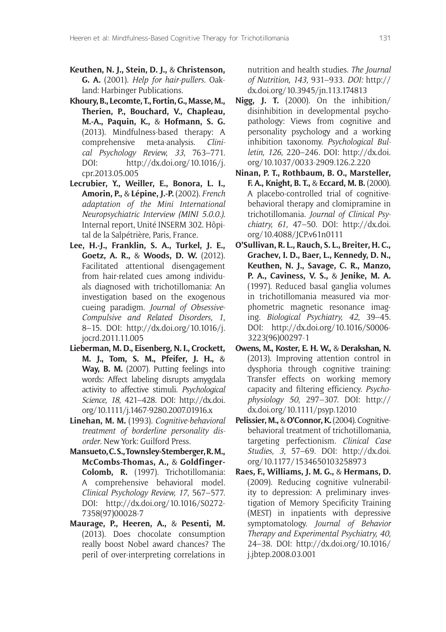- **Keuthen, N. J., Stein, D. J.,** & **Christenson, G. A.** (2001). *Help for hair-pullers*. Oakland: Harbinger Publications.
- **Khoury, B., Lecomte, T., Fortin, G., Masse, M., Therien, P., Bouchard, V., Chapleau, M.-A., Paquin, K.,** & **Hofmann, S. G.** (2013). Mindfulness-based therapy: A comprehensive meta-analysis. *Clini*cal Psychology Review, 33, 763-771. DOI: http://dx.doi.org/10.1016/j. cpr.2013.05.005
- **Lecrubier, Y., Weiller, E., Bonora, L. I., Amorin, P.,** & **Lépine, J.-P.** (2002). *French Adaptation of the Mini International Neuropsychiatric Interview (MINI 5.0.0.).* Internal report, Unité INSERM 302. Hôpital de la Salpétrière, Paris, France.
- **Lee, H.-J., Franklin, S. A., Turkel, J. E., Goetz, A. R.,** & **Woods, D. W.** (2012). Facilitated attentional disengagement from hair-related cues among individuals diagnosed with trichotillomania: An investigation based on the exogenous cueing paradigm. *Journal of Obsessive-Compulsive and Related Disorders, 1*, 8–15. DOI: http://dx.doi.org/10.1016/j. jocrd.2011.11.005
- **Lieberman, M. D., Eisenberg, N. I., Crockett, M. J., Tom, S. M., Pfeifer, J. H.,** & **Way, B. M.** (2007). Putting feelings into words: Affect labeling disrupts amygdala activity to affective stimuli. *Psychological 3CIENCE* , 421–428. DOI: http://dx.doi. org/10.1111/j.1467-9280.2007.01916.x
- **Linehan, M. M.** (1993). *Cognitive-behavioral treatment of borderline personality disorder*. New York: Guilford Press.
- **Mansueto, C. S., Townsley-Stemberger, R. M., McCombs-Thomas, A.,** & **Goldfinger-Colomb, R.** (1997). Trichotillomania: A comprehensive behavioral model. *Clinical Psychology Review, 17, 567-577.* DOI: http://dx.doi.org/10.1016/S0272- 7358(97)00028-7
- **Maurage, P., Heeren, A.,** & **Pesenti, M.** (2013). Does chocolate consumption really boost Nobel award chances? The peril of over-interpreting correlations in

nutrition and health studies. *The Journal of Nutrition, 143,* 931–933.*\$/)*http:// dx.doi.org/10.3945/jn.113.174813

- **Nigg, J. T.** (2000). On the inhibition/ disinhibition in developmental psychopathology: Views from cognitive and personality psychology and a working inhibition taxonomy. Psychological Bul*letin, 126*, 220–246. DOI: http://dx.doi. org/10.1037/0033-2909.126.2.220
- **Ninan, P. T., Rothbaum, B. O., Marsteller, F. A., Knight, B. T.,** & **Eccard, M. B.** (2000). A placebo-controlled trial of cognitivebehavioral therapy and clomipramine in trichotillomania. *Journal of Clinical Psychiatry, 61*, 47–50. DOI: http://dx.doi. org/10.4088/JCP.v61n0111
- **O'Sullivan, R. L., Rauch, S. L., Breiter, H. C., Grachev, I. D., Baer, L., Kennedy, D. N., Keuthen, N. J., Savage, C. R., Manzo, P. A., Caviness, V. S.,** & **Jenike, M. A.** (1997). Reduced basal ganglia volumes in trichotillomania measured via morphometric magnetic resonance imaging. *Biological Psychiatry*, 42, 39–45. DOI: http://dx.doi.org/10.1016/S0006- 3223(96)00297-1
- **Owens, M., Koster, E. H. W.,** & **Derakshan, N.** (2013). Improving attention control in dysphoria through cognitive training: Transfer effects on working memory capacity and filtering efficiency. Psycho*physiology 50*, 297–307. DOI: http:// dx.doi.org/10.1111/psyp.12010
- **Pelissier, M.,** & **O'Connor, K.** (2004). Cognitivebehavioral treatment of trichotillomania, targeting perfectionism. *Clinical Case Studies, 3*, 57–69. DOI: http://dx.doi. org/10.1177/1534650103258973
- **Raes, F., Williams, J. M. G.,** & **Hermans, D.** (2009). Reducing cognitive vulnerability to depression: A preliminary investigation of Memory Specificity Training (MEST) in inpatients with depressive symptomatology. *Journal of Behavior Fherapy and Experimental Psychiatry, 40,* 24–38. DOI: http://dx.doi.org/10.1016/ j.jbtep.2008.03.001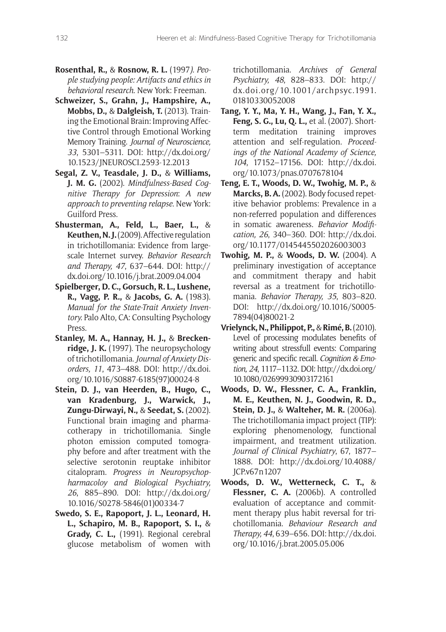- **Rosenthal, R., & Rosnow, R. L.** (1997*). People studying people: Artifacts and ethics in behavioral research*. New York: Freeman.
- **Schweizer, S., Grahn, J., Hampshire, A., Mobbs, D.,** & **Dalgleish, T.** (2013). Training the Emotional Brain: Improving Affective Control through Emotional Working Memory Training. *Journal of Neuroscience, 33*, 5301–5311. DOI: http://dx.doi.org/ 10.1523/JNEUROSCI.2593-12.2013
- **Segal, Z. V., Teasdale, J. D.,** & **Williams, J. M. G.** (2002). *Mindfulness-Based Cognitive Therapy for Depression*: *A new approach to preventing relapse*. New York: Guilford Press.
- **Shusterman, A., Feld, L., Baer, L.,** & **Keuthen, N. J.** (2009). Affective regulation in trichotillomania: Evidence from largescale Internet survey. *Behavior Research and Therapy, 47*, 637–644. DOI: http:// dx.doi.org/10.1016/j.brat.2009.04.004
- **Spielberger, D. C., Gorsuch, R. L., Lushene, R., Vagg, P. R.,** & **Jacobs, G. A.** (1983). *Manual for the State-Trait Anxiety Inventory.* Palo Alto, CA: Consulting Psychology Press.
- **Stanley, M. A., Hannay, H. J.,** & **Breckenridge, J. K.** (1997). The neuropsychology of trichotillomania. *Journal of Anxiety Disorders, 11*, 473–488. DOI: http://dx.doi. org/10.1016/S0887-6185(97)00024-8
- **Stein, D. J., van Heerden, B., Hugo, C., van Kradenburg, J., Warwick, J., Zungu-Dirwayi, N.,** & **Seedat, S.** (2002). Functional brain imaging and pharmacotherapy in trichotillomania. Single photon emission computed tomography before and after treatment with the selective serotonin reuptake inhibitor citalopram. *Progress in Neuropsychop*harmacoloy and Biological Psychiatry, *26*, 885–890. DOI: http://dx.doi.org/ 10.1016/S0278-5846(01)00334-7
- **Swedo, S. E., Rapoport, J. L., Leonard, H. L., Schapiro, M. B., Rapoport, S. I.,** & **Grady, C. L.,** (1991). Regional cerebral glucose metabolism of women with

trichotillomania. *Archives of General 0SYCHIATRY* , 828–833. DOI: http:// dx.doi.org/10.1001/archpsyc.1991. 01810330052008

- **Tang, Y. Y., Ma, Y. H., Wang, J., Fan, Y. X., Feng, S. G., Lu, Q. L.,** et al. (2007). Shortterm meditation training improves attention and self-regulation. Proceed*ings of the National Academy of Science, 104*, 17152–17156. DOI: http://dx.doi. org/10.1073/pnas.0707678104
- **Teng, E. T., Woods, D. W., Twohig, M. P.,** & **Marcks, B. A.** (2002). Body focused repetitive behavior problems: Prevalence in a non-referred population and differences in somatic awareness. *Behavior Modification, 26*, 340–360. DOI: http://dx.doi. org/10.1177/0145445502026003003
- **Twohig, M. P.,** & **Woods, D. W.** (2004). A preliminary investigation of acceptance and commitment therapy and habit reversal as a treatment for trichotillomania. *Behavior Therapy, 35*, 803–820. DOI: http://dx.doi.org/10.1016/S0005- 7894(04)80021-2
- **Vrielynck, N., Philippot, P.,** & **Rimé, B.** (2010). Level of processing modulates benefits of writing about stressfull events: Comparing generic and specific recall. *Cognition & Emotion, 24*, 1117–1132. DOI: http://dx.doi.org/ 10.1080/02699930903172161
- **Woods, D. W., Flessner, C. A., Franklin, M. E., Keuthen, N. J., Goodwin, R. D., Stein, D. J.,** & **Walteher, M. R.** (2006a). The trichotillomania impact project (TIP): exploring phenomenology, functional impairment, and treatment utilization. Journal of Clinical Psychiatry, 67, 1877– 1888. DOI: http://dx.doi.org/10.4088/ JCP.v67n1207
- **Woods, D. W., Wetterneck, C. T.,** & Flessner, C. A. (2006b). A controlled evaluation of acceptance and commitment therapy plus habit reversal for trichotillomania. *Behaviour Research and Therapy, 44*, 639–656. DOI: http://dx.doi. org/10.1016/j.brat.2005.05.006